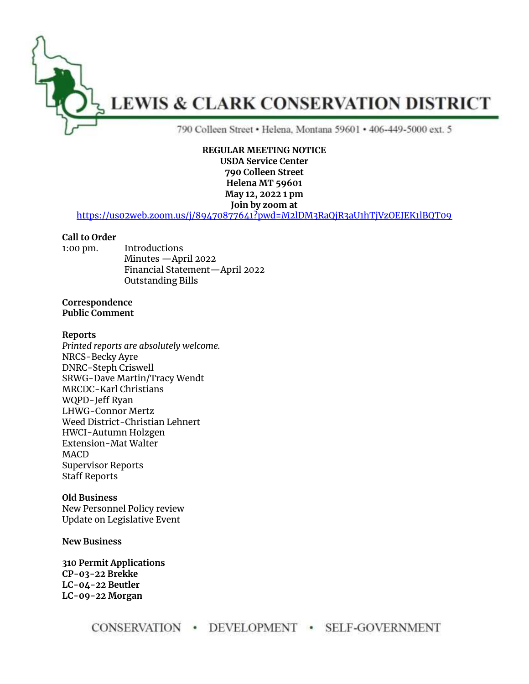

#### **REGULAR MEETING NOTICE USDA Service Center**

**790 Colleen Street Helena MT 59601 May 12, 2022 1 pm**

**Join by zoom at** 

<https://us02web.zoom.us/j/89470877641?pwd=M2lDM3RaQjR3aU1hTjVzOEJEK1lBQT09>

# **Call to Order**

1:00 pm. Introductions Minutes —April 2022 Financial Statement—April 2022 Outstanding Bills

## **Correspondence Public Comment**

## **Reports**

*Printed reports are absolutely welcome.* NRCS-Becky Ayre DNRC-Steph Criswell SRWG-Dave Martin/Tracy Wendt MRCDC-Karl Christians WQPD-Jeff Ryan LHWG-Connor Mertz Weed District-Christian Lehnert HWCI-Autumn Holzgen Extension-Mat Walter MACD Supervisor Reports Staff Reports

## **Old Business**

New Personnel Policy review Update on Legislative Event

**New Business**

**310 Permit Applications CP-03-22 Brekke LC-04-22 Beutler LC-09-22 Morgan**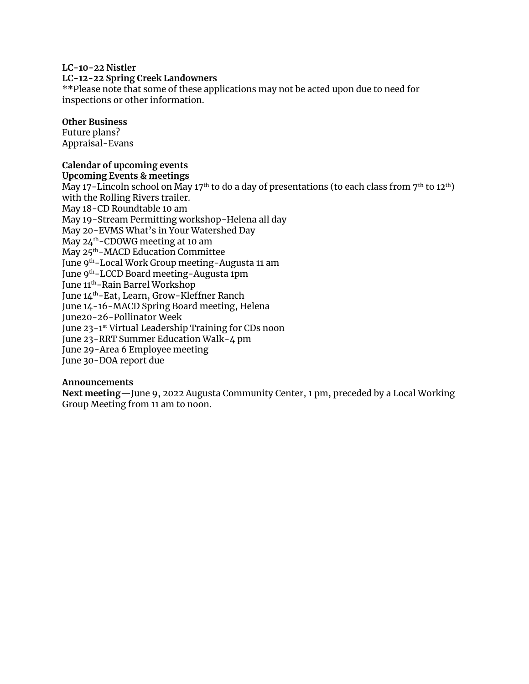## **LC-10-22 Nistler**

## **LC-12-22 Spring Creek Landowners**

\*\*Please note that some of these applications may not be acted upon due to need for inspections or other information.

# **Other Business**

Future plans? Appraisal-Evans

# **Calendar of upcoming events**

**Upcoming Events & meetings**

May 17-Lincoln school on May 17<sup>th</sup> to do a day of presentations (to each class from 7<sup>th</sup> to 12<sup>th</sup>) with the Rolling Rivers trailer. May 18-CD Roundtable 10 am May 19-Stream Permitting workshop-Helena all day May 20-EVMS What's in Your Watershed Day May 24th-CDOWG meeting at 10 am May 25th-MACD Education Committee June 9th-Local Work Group meeting-Augusta 11 am June 9<sup>th</sup>-LCCD Board meeting-Augusta 1pm June 11th-Rain Barrel Workshop June 14th-Eat, Learn, Grow-Kleffner Ranch June 14-16-MACD Spring Board meeting, Helena June20-26-Pollinator Week June 23-1 st Virtual Leadership Training for CDs noon June 23-RRT Summer Education Walk-4 pm June 29-Area 6 Employee meeting June 30-DOA report due

# **Announcements**

**Next meeting**—June 9, 2022 Augusta Community Center, 1 pm, preceded by a Local Working Group Meeting from 11 am to noon.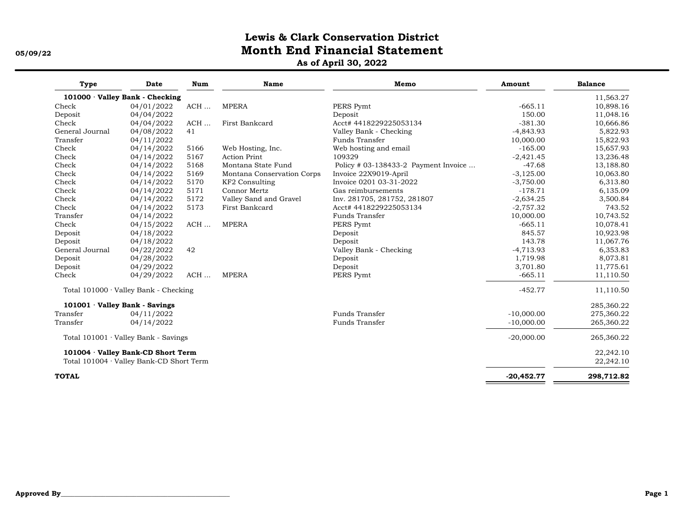# **Lewis & Clark Conservation District 05/09/22 Month End Financial Statement**

**As of April 30, 2022**

| Type                         | Date                                        | Num  | <b>Name</b>                | Memo                                 | Amount       | <b>Balance</b> |
|------------------------------|---------------------------------------------|------|----------------------------|--------------------------------------|--------------|----------------|
|                              | 101000 Valley Bank - Checking               |      |                            |                                      |              | 11,563.27      |
| Check                        | 04/01/2022                                  | ACH  | <b>MPERA</b>               | PERS Pymt                            | $-665.11$    | 10,898.16      |
| Deposit                      | 04/04/2022                                  |      |                            | Deposit                              | 150.00       | 11,048.16      |
| Check                        | 04/04/2022                                  | ACH  | First Bankcard             | Acct#4418229225053134                | $-381.30$    | 10,666.86      |
| General Journal              | 04/08/2022                                  | 41   |                            | Valley Bank - Checking               | $-4,843.93$  | 5,822.93       |
| Transfer                     | 04/11/2022                                  |      |                            | Funds Transfer                       | 10,000.00    | 15,822.93      |
| Check                        | 04/14/2022                                  | 5166 | Web Hosting, Inc.          | Web hosting and email                | $-165.00$    | 15,657.93      |
| Check                        | 04/14/2022                                  | 5167 | <b>Action Print</b>        | 109329                               | $-2,421.45$  | 13,236.48      |
| Check                        | 04/14/2022                                  | 5168 | Montana State Fund         | Policy # 03-138433-2 Payment Invoice | $-47.68$     | 13,188.80      |
| Check                        | 04/14/2022                                  | 5169 | Montana Conservation Corps | Invoice 22X9019-April                | $-3,125.00$  | 10,063.80      |
| Check                        | 04/14/2022                                  | 5170 | KF2 Consulting             | Invoice 0201 03-31-2022              | $-3,750.00$  | 6,313.80       |
| Check                        | 04/14/2022                                  | 5171 | Connor Mertz               | Gas reimbursements                   | $-178.71$    | 6,135.09       |
| Check                        | 04/14/2022                                  | 5172 | Valley Sand and Gravel     | Inv. 281705, 281752, 281807          | $-2,634.25$  | 3,500.84       |
| Check                        | 04/14/2022                                  | 5173 | First Bankcard             | Acct# 4418229225053134               | $-2,757.32$  | 743.52         |
| Transfer                     | 04/14/2022                                  |      |                            | Funds Transfer                       | 10,000.00    | 10,743.52      |
| Check                        | 04/15/2022                                  | ACH  | <b>MPERA</b>               | PERS Pymt                            | $-665.11$    | 10,078.41      |
| Deposit                      | 04/18/2022                                  |      |                            | Deposit                              | 845.57       | 10,923.98      |
| Deposit                      | 04/18/2022                                  |      |                            | Deposit                              | 143.78       | 11,067.76      |
| General Journal              | 04/22/2022                                  | 42   |                            | Valley Bank - Checking               | $-4,713.93$  | 6,353.83       |
| Deposit                      | 04/28/2022                                  |      |                            | Deposit                              | 1,719.98     | 8,073.81       |
| Deposit                      | 04/29/2022                                  |      |                            | Deposit                              | 3,701.80     | 11,775.61      |
| Check                        | 04/29/2022                                  | ACH  | <b>MPERA</b>               | PERS Pymt                            | $-665.11$    | 11,110.50      |
|                              | Total $101000 \cdot$ Valley Bank - Checking |      |                            |                                      | $-452.77$    | 11,110.50      |
| 101001 Valley Bank - Savings |                                             |      |                            |                                      |              | 285,360.22     |
| Transfer                     | 04/11/2022                                  |      |                            | Funds Transfer                       | $-10,000.00$ | 275,360.22     |
| Transfer                     | 04/14/2022                                  |      |                            | Funds Transfer                       | $-10,000.00$ | 265,360.22     |
|                              | Total $101001 \cdot$ Valley Bank - Savings  |      |                            |                                      | $-20,000.00$ | 265,360.22     |
|                              | 101004 · Valley Bank-CD Short Term          |      |                            |                                      |              | 22,242.10      |
|                              | Total 101004 · Valley Bank-CD Short Term    |      |                            |                                      |              | 22,242.10      |
| <b>TOTAL</b>                 |                                             |      |                            |                                      | $-20,452.77$ | 298,712.82     |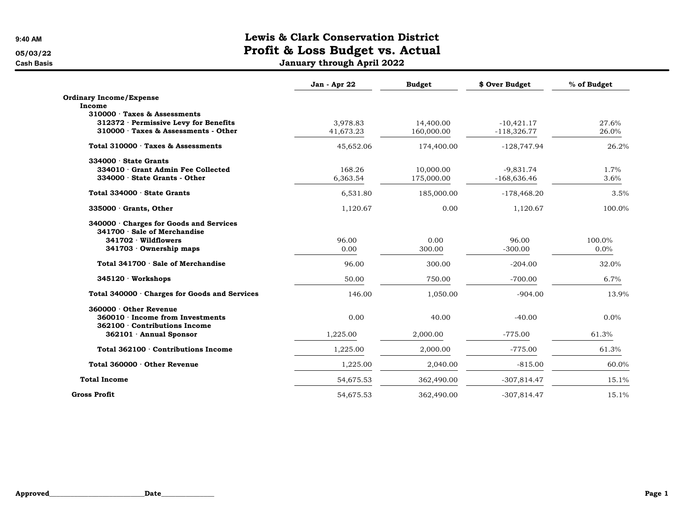Cash Basis January through April 2022

|                                                                             | Jan - Apr 22 | <b>Budget</b> | \$ Over Budget | % of Budget |
|-----------------------------------------------------------------------------|--------------|---------------|----------------|-------------|
| <b>Ordinary Income/Expense</b>                                              |              |               |                |             |
| Income                                                                      |              |               |                |             |
| 310000 Taxes & Assessments                                                  |              |               |                |             |
| 312372 · Permissive Levy for Benefits<br>310000 Taxes & Assessments - Other | 3,978.83     | 14,400.00     | $-10,421.17$   | 27.6%       |
|                                                                             | 41,673.23    | 160,000.00    | $-118,326.77$  | 26.0%       |
| Total 310000 · Taxes & Assessments                                          | 45,652.06    | 174,400.00    | $-128,747.94$  | 26.2%       |
| $334000 \cdot$ State Grants                                                 |              |               |                |             |
| 334010 Grant Admin Fee Collected                                            | 168.26       | 10,000.00     | $-9,831.74$    | 1.7%        |
| 334000 · State Grants - Other                                               | 6,363.54     | 175,000.00    | $-168,636.46$  | 3.6%        |
| Total 334000 · State Grants                                                 | 6,531.80     | 185,000.00    | $-178,468.20$  | 3.5%        |
| $335000 \cdot$ Grants, Other                                                | 1,120.67     | 0.00          | 1,120.67       | 100.0%      |
| 340000 Charges for Goods and Services<br>341700 · Sale of Merchandise       |              |               |                |             |
| 341702 Wildflowers                                                          | 96.00        | 0.00          | 96.00          | 100.0%      |
| 341703 Ownership maps                                                       | 0.00         | 300.00        | $-300.00$      | $0.0\%$     |
|                                                                             |              |               |                |             |
| Total 341700 · Sale of Merchandise                                          | 96.00        | 300.00        | $-204.00$      | 32.0%       |
| 345120 Workshops                                                            | 50.00        | 750.00        | $-700.00$      | 6.7%        |
| Total 340000 · Charges for Goods and Services                               | 146.00       | 1,050.00      | $-904.00$      | 13.9%       |
| $360000 \cdot$ Other Revenue                                                |              |               |                |             |
| 360010 · Income from Investments                                            | 0.00         | 40.00         | $-40.00$       | 0.0%        |
| 362100 Contributions Income                                                 |              |               |                |             |
| 362101 Annual Sponsor                                                       | 1,225.00     | 2,000.00      | $-775.00$      | 61.3%       |
| Total 362100 · Contributions Income                                         | 1,225.00     | 2,000.00      | $-775.00$      | 61.3%       |
| Total 360000 · Other Revenue                                                | 1,225.00     | 2,040.00      | $-815.00$      | 60.0%       |
| <b>Total Income</b>                                                         | 54,675.53    | 362,490.00    | $-307,814.47$  | 15.1%       |
| <b>Gross Profit</b>                                                         | 54,675.53    | 362,490.00    | $-307,814.47$  | 15.1%       |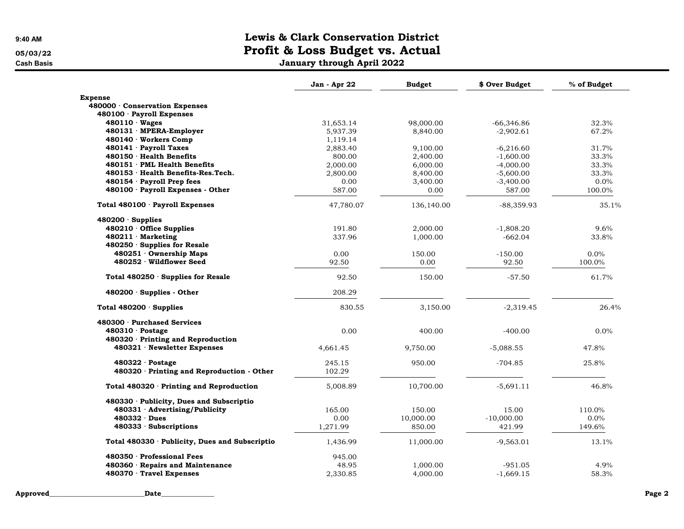Cash Basis January through April 2022

|                                                | Jan - Apr 22 | <b>Budget</b> | \$ Over Budget | % of Budget |
|------------------------------------------------|--------------|---------------|----------------|-------------|
| <b>Expense</b>                                 |              |               |                |             |
| 480000 · Conservation Expenses                 |              |               |                |             |
| 480100 · Payroll Expenses                      |              |               |                |             |
| $480110 \cdot Wages$                           | 31,653.14    | 98,000.00     | -66,346.86     | 32.3%       |
| 480131 · MPERA-Employer                        | 5,937.39     | 8,840.00      | $-2,902.61$    | 67.2%       |
| 480140 · Workers Comp                          | 1,119.14     |               |                |             |
| 480141 · Payroll Taxes                         | 2,883.40     | 9,100.00      | $-6,216.60$    | 31.7%       |
| 480150 · Health Benefits                       | 800.00       | 2,400.00      | $-1,600.00$    | 33.3%       |
| 480151 PML Health Benefits                     | 2,000.00     | 6,000.00      | $-4,000.00$    | 33.3%       |
| 480153 · Health Benefits-Res. Tech.            | 2,800.00     | 8,400.00      | $-5,600.00$    | 33.3%       |
| 480154 · Payroll Prep fees                     | 0.00         | 3,400.00      | $-3,400.00$    | 0.0%        |
| 480100 · Payroll Expenses - Other              | 587.00       | 0.00          | 587.00         | 100.0%      |
| Total 480100 · Payroll Expenses                | 47,780.07    | 136,140.00    | $-88,359.93$   | 35.1%       |
| $480200 \cdot$ Supplies                        |              |               |                |             |
| 480210 Office Supplies                         | 191.80       | 2,000.00      | $-1,808.20$    | 9.6%        |
| $480211 \cdot$ Marketing                       | 337.96       | 1,000.00      | $-662.04$      | 33.8%       |
| 480250 Supplies for Resale                     |              |               |                |             |
| 480251 Ownership Maps                          | 0.00         | 150.00        | $-150.00$      | $0.0\%$     |
| 480252 Wildflower Seed                         | 92.50        | 0.00          | 92.50          | 100.0%      |
| Total 480250 · Supplies for Resale             | 92.50        | 150.00        | $-57.50$       | 61.7%       |
| $480200 \cdot$ Supplies - Other                | 208.29       |               |                |             |
| Total 480200 Supplies                          | 830.55       | 3,150.00      | $-2,319.45$    | 26.4%       |
| 480300 · Purchased Services                    |              |               |                |             |
| $480310 \cdot$ Postage                         | 0.00         | 400.00        | $-400.00$      | $0.0\%$     |
| 480320 · Printing and Reproduction             |              |               |                |             |
| 480321 · Newsletter Expenses                   | 4,661.45     | 9,750.00      | $-5,088.55$    | 47.8%       |
| $480322 \cdot$ Postage                         | 245.15       | 950.00        | $-704.85$      | 25.8%       |
| 480320 · Printing and Reproduction - Other     | 102.29       |               |                |             |
| Total 480320 · Printing and Reproduction       | 5,008.89     | 10,700.00     | $-5,691.11$    | 46.8%       |
| 480330 · Publicity, Dues and Subscriptio       |              |               |                |             |
| 480331 · Advertising/Publicity                 | 165.00       | 150.00        | 15.00          | 110.0%      |
| $480332 \cdot Dues$                            | 0.00         | 10,000.00     | $-10,000.00$   | $0.0\%$     |
| $480333 \cdot$ Subscriptions                   | 1,271.99     | 850.00        | 421.99         | 149.6%      |
| Total 480330 · Publicity, Dues and Subscriptio | 1,436.99     | 11,000.00     | $-9,563.01$    | 13.1%       |
| 480350 Professional Fees                       | 945.00       |               |                |             |
| 480360 · Repairs and Maintenance               | 48.95        | 1,000.00      | $-951.05$      | 4.9%        |
| 480370 · Travel Expenses                       | 2.330.85     | 4,000.00      | $-1.669.15$    | 58.3%       |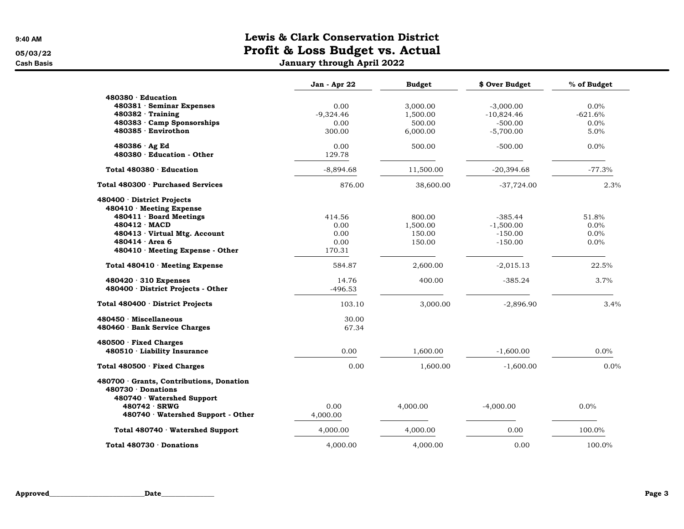Cash Basis January through April 2022

|                                                                                                                                                                                                       | Jan - Apr 22                             | <b>Budget</b>                          | \$ Over Budget                                     | % of Budget                      |
|-------------------------------------------------------------------------------------------------------------------------------------------------------------------------------------------------------|------------------------------------------|----------------------------------------|----------------------------------------------------|----------------------------------|
| 480380 · Education<br>480381 · Seminar Expenses<br>$480382 \cdot$ Training<br>480383 Camp Sponsorships                                                                                                | 0.00<br>$-9,324.46$<br>0.00              | 3,000.00<br>1,500.00<br>500.00         | $-3,000.00$<br>$-10,824.46$<br>$-500.00$           | $0.0\%$<br>$-621.6%$<br>$0.0\%$  |
| 480385 · Envirothon                                                                                                                                                                                   | 300.00                                   | 6,000.00                               | $-5,700.00$                                        | 5.0%                             |
| 480386 · Ag Ed<br>480380 · Education - Other                                                                                                                                                          | 0.00<br>129.78                           | 500.00                                 | $-500.00$                                          | $0.0\%$                          |
| Total 480380 · Education                                                                                                                                                                              | $-8,894.68$                              | 11,500.00                              | $-20,394.68$                                       | $-77.3%$                         |
| Total 480300 · Purchased Services                                                                                                                                                                     | 876.00                                   | 38,600.00                              | $-37,724.00$                                       | 2.3%                             |
| 480400 District Projects<br>480410 Meeting Expense<br>480411 · Board Meetings<br>$480412 \cdot \text{MACD}$<br>480413 Virtual Mtg. Account<br>$480414 \cdot Area 6$<br>480410 Meeting Expense - Other | 414.56<br>0.00<br>0.00<br>0.00<br>170.31 | 800.00<br>1,500.00<br>150.00<br>150.00 | $-385.44$<br>$-1,500.00$<br>$-150.00$<br>$-150.00$ | 51.8%<br>$0.0\%$<br>0.0%<br>0.0% |
| Total 480410 Meeting Expense                                                                                                                                                                          | 584.87                                   | 2,600.00                               | $-2,015.13$                                        | 22.5%                            |
| $480420 \cdot 310$ Expenses<br>480400 · District Projects - Other                                                                                                                                     | 14.76<br>$-496.53$                       | 400.00                                 | $-385.24$                                          | 3.7%                             |
| Total 480400 · District Projects                                                                                                                                                                      | 103.10                                   | 3,000.00                               | $-2,896.90$                                        | 3.4%                             |
| 480450 Miscellaneous<br>480460 · Bank Service Charges                                                                                                                                                 | 30.00<br>67.34                           |                                        |                                                    |                                  |
| 480500 Fixed Charges<br>480510 · Liability Insurance                                                                                                                                                  | 0.00                                     | 1,600.00                               | $-1,600.00$                                        | 0.0%                             |
| Total 480500 · Fixed Charges                                                                                                                                                                          | 0.00                                     | 1,600.00                               | $-1,600.00$                                        | 0.0%                             |
| 480700 Grants, Contributions, Donation<br>480730 Donations<br>480740 Watershed Support<br>480742 · SRWG<br>480740 Watershed Support - Other                                                           | 0.00<br>4,000.00                         | 4,000.00                               | $-4,000.00$                                        | 0.0%                             |
| Total 480740 Watershed Support                                                                                                                                                                        | 4,000.00                                 | 4,000.00                               | 0.00                                               | 100.0%                           |
| Total 480730 $\cdot$ Donations                                                                                                                                                                        | 4,000.00                                 | 4,000.00                               | 0.00                                               | 100.0%                           |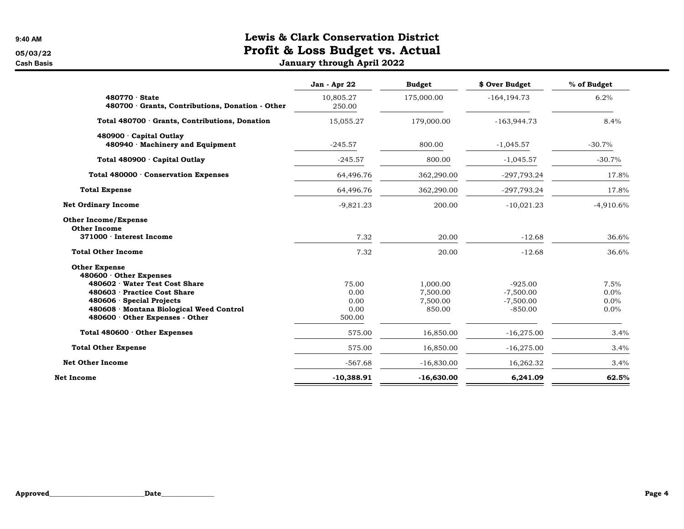Cash Basis January through April 2022

|                                                                                                                                                                                                                                     | Jan - Apr 22                            | <b>Budget</b>                              | \$ Over Budget                                       | % of Budget                  |
|-------------------------------------------------------------------------------------------------------------------------------------------------------------------------------------------------------------------------------------|-----------------------------------------|--------------------------------------------|------------------------------------------------------|------------------------------|
| $480770 \cdot$ State<br>480700 Grants, Contributions, Donation - Other                                                                                                                                                              | 10,805.27<br>250.00                     | 175,000.00                                 | $-164, 194.73$                                       | 6.2%                         |
| Total 480700 Grants, Contributions, Donation                                                                                                                                                                                        | 15,055.27                               | 179,000.00                                 | $-163,944.73$                                        | 8.4%                         |
| 480900 · Capital Outlay<br>480940 Machinery and Equipment                                                                                                                                                                           | $-245.57$                               | 800.00                                     | $-1,045.57$                                          | $-30.7%$                     |
| Total 480900 · Capital Outlay                                                                                                                                                                                                       | $-245.57$                               | 800.00                                     | $-1,045.57$                                          | $-30.7%$                     |
| Total 480000 · Conservation Expenses                                                                                                                                                                                                | 64,496.76                               | 362,290.00                                 | -297,793.24                                          | 17.8%                        |
| <b>Total Expense</b>                                                                                                                                                                                                                | 64,496.76                               | 362,290.00                                 | -297,793.24                                          | 17.8%                        |
| <b>Net Ordinary Income</b>                                                                                                                                                                                                          | $-9,821.23$                             | 200.00                                     | $-10,021.23$                                         | $-4,910.6%$                  |
| <b>Other Income/Expense</b><br><b>Other Income</b><br>371000 · Interest Income                                                                                                                                                      | 7.32                                    | 20.00                                      | $-12.68$                                             | 36.6%                        |
| <b>Total Other Income</b>                                                                                                                                                                                                           | 7.32                                    | 20.00                                      | $-12.68$                                             | 36.6%                        |
| <b>Other Expense</b><br>$480600 \cdot$ Other Expenses<br>480602 Water Test Cost Share<br>480603 · Practice Cost Share<br>$480606 \cdot$ Special Projects<br>480608 Montana Biological Weed Control<br>480600 Other Expenses - Other | 75.00<br>0.00<br>0.00<br>0.00<br>500.00 | 1,000.00<br>7,500.00<br>7.500.00<br>850.00 | $-925.00$<br>$-7,500.00$<br>$-7,500.00$<br>$-850.00$ | 7.5%<br>0.0%<br>0.0%<br>0.0% |
| Total 480600 Other Expenses                                                                                                                                                                                                         | 575.00                                  | 16,850.00                                  | $-16,275.00$                                         | 3.4%                         |
| <b>Total Other Expense</b>                                                                                                                                                                                                          | 575.00                                  | 16,850.00                                  | $-16,275.00$                                         | 3.4%                         |
| <b>Net Other Income</b>                                                                                                                                                                                                             | $-567.68$                               | $-16,830.00$                               | 16,262.32                                            | 3.4%                         |
| Net Income                                                                                                                                                                                                                          | $-10,388.91$                            | $-16,630.00$                               | 6,241.09                                             | 62.5%                        |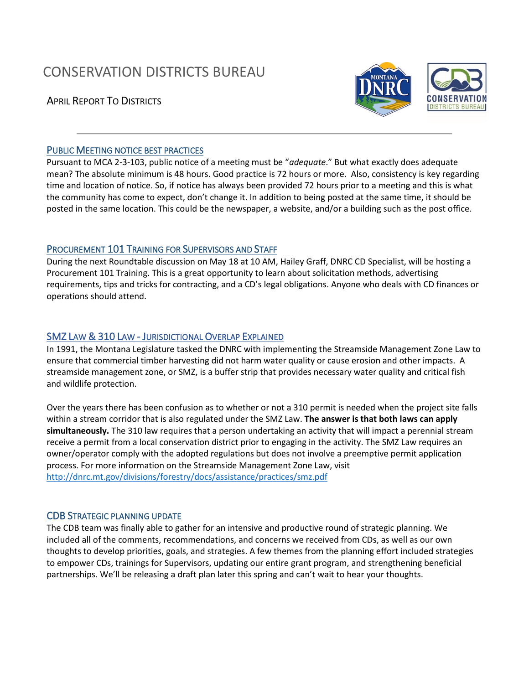# CONSERVATION DISTRICTS BUREAU

APRIL REPORT TO DISTRICTS





# PUBLIC MEETING NOTICE BEST PRACTICES

Pursuant to MCA 2-3-103, public notice of a meeting must be "*adequate*." But what exactly does adequate mean? The absolute minimum is 48 hours. Good practice is 72 hours or more. Also, consistency is key regarding time and location of notice. So, if notice has always been provided 72 hours prior to a meeting and this is what the community has come to expect, don't change it. In addition to being posted at the same time, it should be posted in the same location. This could be the newspaper, a website, and/or a building such as the post office. 

# PROCUREMENT 101 TRAINING FOR SUPERVISORS AND STAFF

During the next Roundtable discussion on May 18 at 10 AM, Hailey Graff, DNRC CD Specialist, will be hosting a Procurement 101 Training. This is a great opportunity to learn about solicitation methods, advertising requirements, tips and tricks for contracting, and a CD's legal obligations. Anyone who deals with CD finances or operations should attend.

# SMZ LAW & 310 LAW - JURISDICTIONAL OVERLAP EXPLAINED

In 1991, the Montana Legislature tasked the DNRC with implementing the Streamside Management Zone Law to ensure that commercial timber harvesting did not harm water quality or cause erosion and other impacts. A streamside management zone, or SMZ, is a buffer strip that provides necessary water quality and critical fish and wildlife protection.

Over the years there has been confusion as to whether or not a 310 permit is needed when the project site falls within a stream corridor that is also regulated under the SMZ Law. **The answer is that both laws can apply simultaneously.** The 310 law requires that a person undertaking an activity that will impact a perennial stream receive a permit from a local conservation district prior to engaging in the activity. The SMZ Law requires an owner/operator comply with the adopted regulations but does not involve a preemptive permit application process. For more information on the Streamside Management Zone Law, visit <http://dnrc.mt.gov/divisions/forestry/docs/assistance/practices/smz.pdf>

# CDB STRATEGIC PLANNING UPDATE

The CDB team was finally able to gather for an intensive and productive round of strategic planning. We included all of the comments, recommendations, and concerns we received from CDs, as well as our own thoughts to develop priorities, goals, and strategies. A few themes from the planning effort included strategies to empower CDs, trainings for Supervisors, updating our entire grant program, and strengthening beneficial partnerships. We'll be releasing a draft plan later this spring and can't wait to hear your thoughts.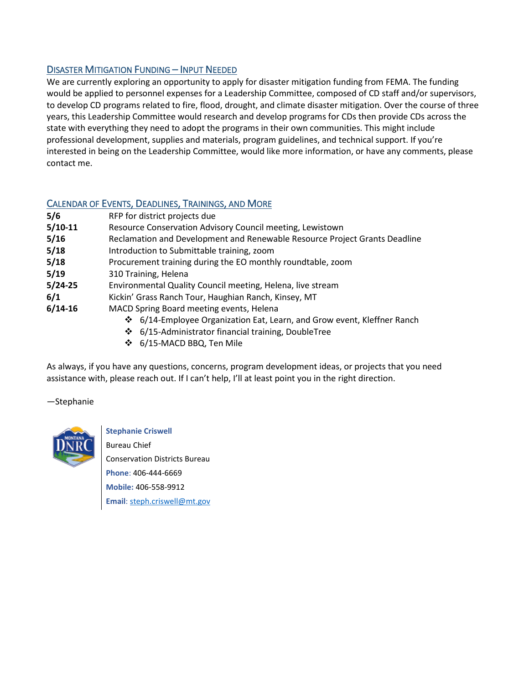# DISASTER MITIGATION FUNDING – INPUT NEEDED

We are currently exploring an opportunity to apply for disaster mitigation funding from FEMA. The funding would be applied to personnel expenses for a Leadership Committee, composed of CD staff and/or supervisors, to develop CD programs related to fire, flood, drought, and climate disaster mitigation. Over the course of three years, this Leadership Committee would research and develop programs for CDs then provide CDs across the state with everything they need to adopt the programs in their own communities. This might include professional development, supplies and materials, program guidelines, and technical support. If you're interested in being on the Leadership Committee, would like more information, or have any comments, please contact me.

# CALENDAR OF EVENTS, DEADLINES, TRAININGS, AND MORE

| 5/6       | RFP for district projects due                                              |
|-----------|----------------------------------------------------------------------------|
| $5/10-11$ | Resource Conservation Advisory Council meeting, Lewistown                  |
| 5/16      | Reclamation and Development and Renewable Resource Project Grants Deadline |
| 5/18      | Introduction to Submittable training, zoom                                 |
| 5/18      | Procurement training during the EO monthly roundtable, zoom                |
| 5/19      | 310 Training, Helena                                                       |
| $5/24-25$ | Environmental Quality Council meeting, Helena, live stream                 |
| 6/1       | Kickin' Grass Ranch Tour, Haughian Ranch, Kinsey, MT                       |
| $6/14-16$ | MACD Spring Board meeting events, Helena                                   |
|           | ❖ 6/14-Employee Organization Eat, Learn, and Grow event, Kleffner Ranch    |

- 6/15-Administrator financial training, DoubleTree
- 6/15-MACD BBQ, Ten Mile

As always, if you have any questions, concerns, program development ideas, or projects that you need assistance with, please reach out. If I can't help, I'll at least point you in the right direction.

—Stephanie



**Stephanie Criswell** Bureau Chief Conservation Districts Bureau **Phone**: 406-444-6669 **Mobile:** 406-558-9912 **Email**[: steph.criswell@mt.gov](mailto:steph.criswell@mt.gov)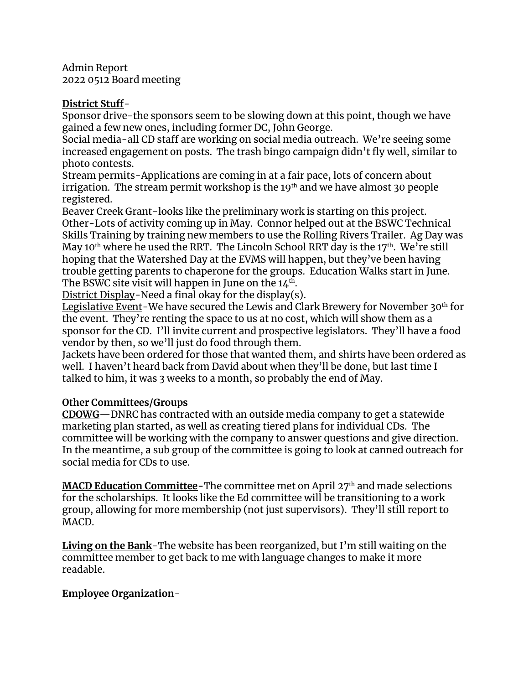Admin Report 2022 0512 Board meeting

# **District Stuff**-

Sponsor drive-the sponsors seem to be slowing down at this point, though we have gained a few new ones, including former DC, John George.

Social media-all CD staff are working on social media outreach. We're seeing some increased engagement on posts. The trash bingo campaign didn't fly well, similar to photo contests.

Stream permits-Applications are coming in at a fair pace, lots of concern about irrigation. The stream permit workshop is the  $19<sup>th</sup>$  and we have almost 30 people registered.

Beaver Creek Grant-looks like the preliminary work is starting on this project. Other-Lots of activity coming up in May. Connor helped out at the BSWC Technical Skills Training by training new members to use the Rolling Rivers Trailer. Ag Day was May 10<sup>th</sup> where he used the RRT. The Lincoln School RRT day is the 17<sup>th</sup>. We're still hoping that the Watershed Day at the EVMS will happen, but they've been having trouble getting parents to chaperone for the groups. Education Walks start in June. The BSWC site visit will happen in June on the 14<sup>th</sup>.

District Display-Need a final okay for the display(s).

Legislative Event-We have secured the Lewis and Clark Brewery for November 30th for the event. They're renting the space to us at no cost, which will show them as a sponsor for the CD. I'll invite current and prospective legislators. They'll have a food vendor by then, so we'll just do food through them.

Jackets have been ordered for those that wanted them, and shirts have been ordered as well. I haven't heard back from David about when they'll be done, but last time I talked to him, it was 3 weeks to a month, so probably the end of May.

# **Other Committees/Groups**

**CDOWG**—DNRC has contracted with an outside media company to get a statewide marketing plan started, as well as creating tiered plans for individual CDs. The committee will be working with the company to answer questions and give direction. In the meantime, a sub group of the committee is going to look at canned outreach for social media for CDs to use.

**MACD Education Committee-**The committee met on April 27<sup>th</sup> and made selections for the scholarships. It looks like the Ed committee will be transitioning to a work group, allowing for more membership (not just supervisors). They'll still report to MACD.

**Living on the Bank**-The website has been reorganized, but I'm still waiting on the committee member to get back to me with language changes to make it more readable.

# **Employee Organization**-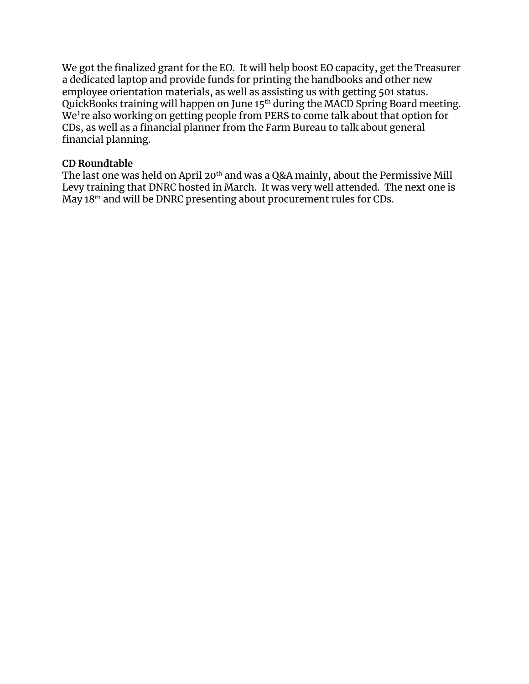We got the finalized grant for the EO. It will help boost EO capacity, get the Treasurer a dedicated laptop and provide funds for printing the handbooks and other new employee orientation materials, as well as assisting us with getting 501 status. QuickBooks training will happen on June 15<sup>th</sup> during the MACD Spring Board meeting. We're also working on getting people from PERS to come talk about that option for CDs, as well as a financial planner from the Farm Bureau to talk about general financial planning.

# **CD Roundtable**

The last one was held on April 20<sup>th</sup> and was a Q&A mainly, about the Permissive Mill Levy training that DNRC hosted in March. It was very well attended. The next one is May 18<sup>th</sup> and will be DNRC presenting about procurement rules for CDs.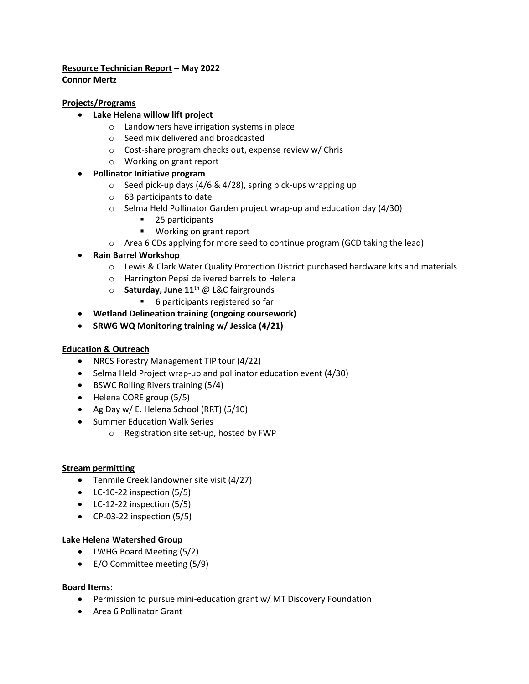# **Resource Technician Report – May 2022**

**Connor Mertz**

# **Projects/Programs**

- **Lake Helena willow lift project**
	- o Landowners have irrigation systems in place
	- o Seed mix delivered and broadcasted
	- o Cost-share program checks out, expense review w/ Chris
	- o Working on grant report

# • **Pollinator Initiative program**

- $\circ$  Seed pick-up days (4/6 & 4/28), spring pick-ups wrapping up
- o 63 participants to date
- o Selma Held Pollinator Garden project wrap-up and education day (4/30)
	- 25 participants
	- Working on grant report
- $\circ$  Area 6 CDs applying for more seed to continue program (GCD taking the lead)
- **Rain Barrel Workshop**
	- o Lewis & Clark Water Quality Protection District purchased hardware kits and materials
	- o Harrington Pepsi delivered barrels to Helena
	- o **Saturday, June 11th** @ L&C fairgrounds
		- 6 participants registered so far
- **Wetland Delineation training (ongoing coursework)**
- **SRWG WQ Monitoring training w/ Jessica (4/21)**

## **Education & Outreach**

- NRCS Forestry Management TIP tour (4/22)
- Selma Held Project wrap-up and pollinator education event (4/30)
- BSWC Rolling Rivers training (5/4)
- Helena CORE group (5/5)
- Ag Day w/ E. Helena School (RRT) (5/10)
- Summer Education Walk Series
	- o Registration site set-up, hosted by FWP

## **Stream permitting**

- Tenmile Creek landowner site visit (4/27)
- LC-10-22 inspection (5/5)
- LC-12-22 inspection (5/5)
- CP-03-22 inspection (5/5)

## **Lake Helena Watershed Group**

- LWHG Board Meeting (5/2)
- E/O Committee meeting (5/9)

## **Board Items:**

- Permission to pursue mini-education grant w/ MT Discovery Foundation
- Area 6 Pollinator Grant